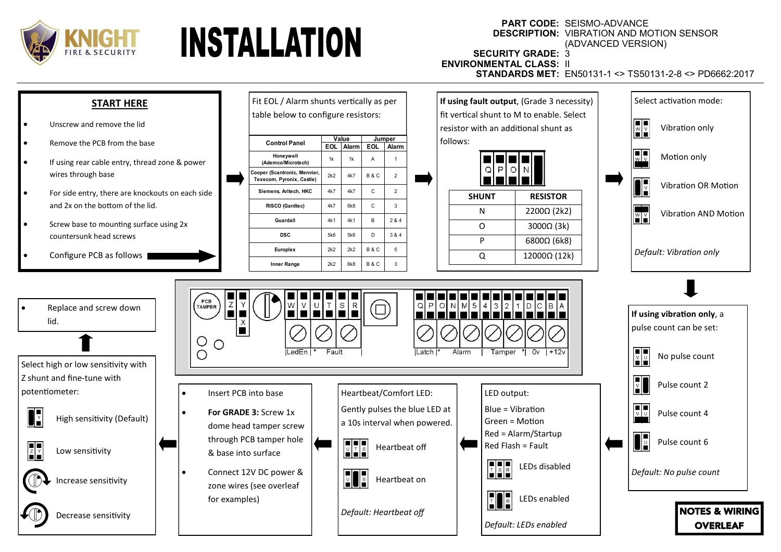



## **PART CODE:** SEISMO-ADVANCE **DESCRIPTION:** VIBRATION AND MOTION SENSOR (ADVANCED VERSION)

**SECURITY GRADE:** 3 **ENVIRONMENTAL CLASS:** II

**STANDARDS MET:** EN50131-1 <> TS50131-2-8 <> PD6662:2017